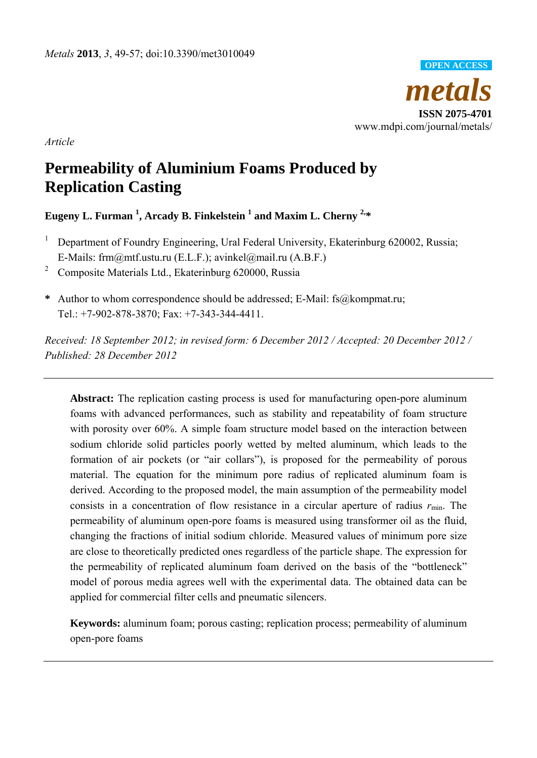

*Article* 

# **Permeability of Aluminium Foams Produced by Replication Casting**

# **Eugeny L. Furman 1 , Arcady B. Finkelstein 1 and Maxim L. Cherny 2,\***

- <sup>1</sup> Department of Foundry Engineering, Ural Federal University, Ekaterinburg 620002, Russia; E-Mails: frm@mtf.ustu.ru (E.L.F.); avinkel@mail.ru (A.B.F.)
- 2 Composite Materials Ltd., Ekaterinburg 620000, Russia
- **\*** Author to whom correspondence should be addressed; E-Mail: fs@kompmat.ru; Tel.: +7-902-878-3870; Fax: +7-343-344-4411.

*Received: 18 September 2012; in revised form: 6 December 2012 / Accepted: 20 December 2012 / Published: 28 December 2012* 

**Abstract:** The replication casting process is used for manufacturing open-pore aluminum foams with advanced performances, such as stability and repeatability of foam structure with porosity over 60%. A simple foam structure model based on the interaction between sodium chloride solid particles poorly wetted by melted aluminum, which leads to the formation of air pockets (or "air collars"), is proposed for the permeability of porous material. The equation for the minimum pore radius of replicated aluminum foam is derived. According to the proposed model, the main assumption of the permeability model consists in a concentration of flow resistance in a circular aperture of radius  $r_{\text{min}}$ . The permeability of aluminum open-pore foams is measured using transformer oil as the fluid, changing the fractions of initial sodium chloride. Measured values of minimum pore size are close to theoretically predicted ones regardless of the particle shape. The expression for the permeability of replicated aluminum foam derived on the basis of the "bottleneck" model of porous media agrees well with the experimental data. The obtained data can be applied for commercial filter cells and pneumatic silencers.

**Keywords:** aluminum foam; porous casting; replication process; permeability of aluminum open-pore foams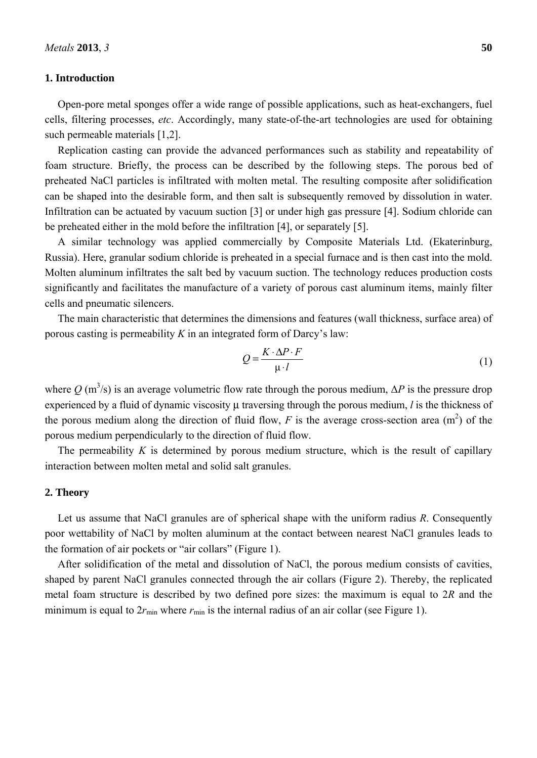### **1. Introduction**

Open-pore metal sponges offer a wide range of possible applications, such as heat-exchangers, fuel cells, filtering processes, *etc*. Accordingly, many state-of-the-art technologies are used for obtaining such permeable materials [1,2].

Replication casting can provide the advanced performances such as stability and repeatability of foam structure. Briefly, the process can be described by the following steps. The porous bed of preheated NaCl particles is infiltrated with molten metal. The resulting composite after solidification can be shaped into the desirable form, and then salt is subsequently removed by dissolution in water. Infiltration can be actuated by vacuum suction [3] or under high gas pressure [4]. Sodium chloride can be preheated either in the mold before the infiltration [4], or separately [5].

A similar technology was applied commercially by Composite Materials Ltd. (Ekaterinburg, Russia). Here, granular sodium chloride is preheated in a special furnace and is then cast into the mold. Molten aluminum infiltrates the salt bed by vacuum suction. The technology reduces production costs significantly and facilitates the manufacture of a variety of porous cast aluminum items, mainly filter cells and pneumatic silencers.

The main characteristic that determines the dimensions and features (wall thickness, surface area) of porous casting is permeability *K* in an integrated form of Darcy's law:

$$
Q = \frac{K \cdot \Delta P \cdot F}{\mu \cdot l} \tag{1}
$$

where  $Q$  (m<sup>3</sup>/s) is an average volumetric flow rate through the porous medium,  $\Delta P$  is the pressure drop experienced by a fluid of dynamic viscosity μ traversing through the porous medium, *l* is the thickness of the porous medium along the direction of fluid flow,  $F$  is the average cross-section area  $(m<sup>2</sup>)$  of the porous medium perpendicularly to the direction of fluid flow.

The permeability *K* is determined by porous medium structure, which is the result of capillary interaction between molten metal and solid salt granules.

### **2. Theory**

Let us assume that NaCl granules are of spherical shape with the uniform radius *R*. Consequently poor wettability of NaCl by molten aluminum at the contact between nearest NaCl granules leads to the formation of air pockets or "air collars" (Figure 1).

After solidification of the metal and dissolution of NaCl, the porous medium consists of cavities, shaped by parent NaCl granules connected through the air collars (Figure 2). Thereby, the replicated metal foam structure is described by two defined pore sizes: the maximum is equal to 2*R* and the minimum is equal to  $2r_{\min}$  where  $r_{\min}$  is the internal radius of an air collar (see Figure 1).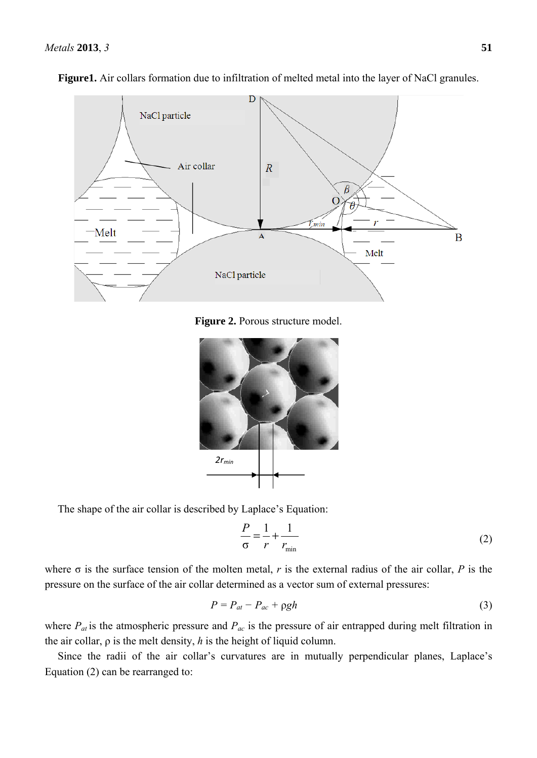

**Figure1.** Air collars formation due to infiltration of melted metal into the layer of NaCl granules.

**Figure 2.** Porous structure model.



The shape of the air collar is described by Laplace's Equation:

$$
\frac{P}{\sigma} = \frac{1}{r} + \frac{1}{r_{\min}}
$$
 (2)

where  $\sigma$  is the surface tension of the molten metal, *r* is the external radius of the air collar, *P* is the pressure on the surface of the air collar determined as a vector sum of external pressures:

$$
P = P_{at} - P_{ac} + \rho g h \tag{3}
$$

where  $P_{at}$  is the atmospheric pressure and  $P_{ac}$  is the pressure of air entrapped during melt filtration in the air collar, ρ is the melt density, *h* is the height of liquid column.

Since the radii of the air collar's curvatures are in mutually perpendicular planes, Laplace's Equation (2) can be rearranged to: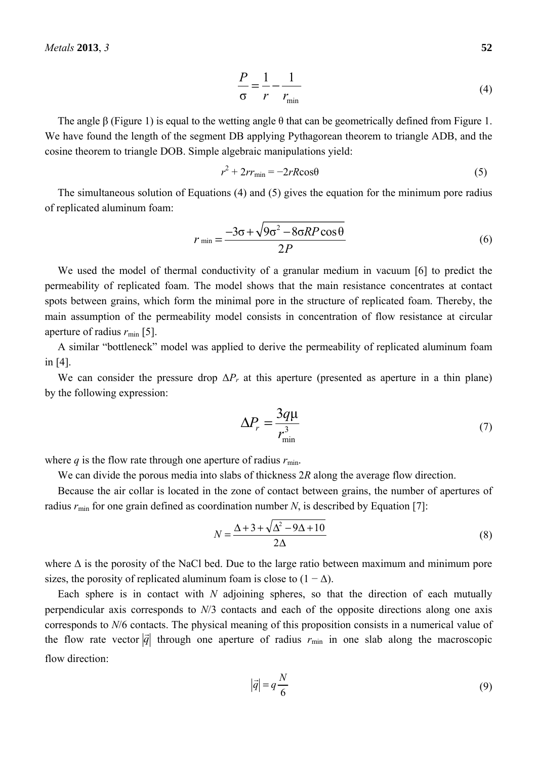$$
\frac{P}{\sigma} = \frac{1}{r} - \frac{1}{r_{\min}}\tag{4}
$$

The angle  $\beta$  (Figure 1) is equal to the wetting angle  $\theta$  that can be geometrically defined from Figure 1. We have found the length of the segment DB applying Pythagorean theorem to triangle АDB, and the cosine theorem to triangle DОB. Simple algebraic manipulations yield:

$$
r^2 + 2rr_{\min} = -2rR\cos\theta\tag{5}
$$

The simultaneous solution of Equations (4) and (5) gives the equation for the minimum pore radius of replicated aluminum foam:

$$
r_{\min} = \frac{-3\sigma + \sqrt{9\sigma^2 - 8\sigma RP\cos\theta}}{2P}
$$
 (6)

We used the model of thermal conductivity of a granular medium in vacuum [6] to predict the permeability of replicated foam. The model shows that the main resistance concentrates at contact spots between grains, which form the minimal pore in the structure of replicated foam. Thereby, the main assumption of the permeability model consists in concentration of flow resistance at circular aperture of radius  $r_{\text{min}}$  [5].

A similar "bottleneck" model was applied to derive the permeability of replicated aluminum foam in [4].

We can consider the pressure drop  $\Delta P_r$  at this aperture (presented as aperture in a thin plane) by the following expression:

$$
\Delta P_r = \frac{3q\mu}{r_{\min}^3} \tag{7}
$$

where  $q$  is the flow rate through one aperture of radius  $r_{\min}$ .

We can divide the porous media into slabs of thickness 2*R* along the average flow direction.

Because the air collar is located in the zone of contact between grains, the number of apertures of radius  $r_{\text{min}}$  for one grain defined as coordination number *N*, is described by Equation [7]:

$$
N = \frac{\Delta + 3 + \sqrt{\Delta^2 - 9\Delta + 10}}{2\Delta} \tag{8}
$$

where  $\Delta$  is the porosity of the NaCl bed. Due to the large ratio between maximum and minimum pore sizes, the porosity of replicated aluminum foam is close to  $(1 - \Delta)$ .

Each sphere is in contact with *N* adjoining spheres, so that the direction of each mutually perpendicular axis corresponds to *N*/3 contacts and each of the opposite directions along one axis corresponds to *N*/6 contacts. The physical meaning of this proposition consists in a numerical value of the flow rate vector  $|\vec{q}|$  through one aperture of radius  $r_{\text{min}}$  in one slab along the macroscopic flow direction:

$$
|\vec{q}| = q \frac{N}{6} \tag{9}
$$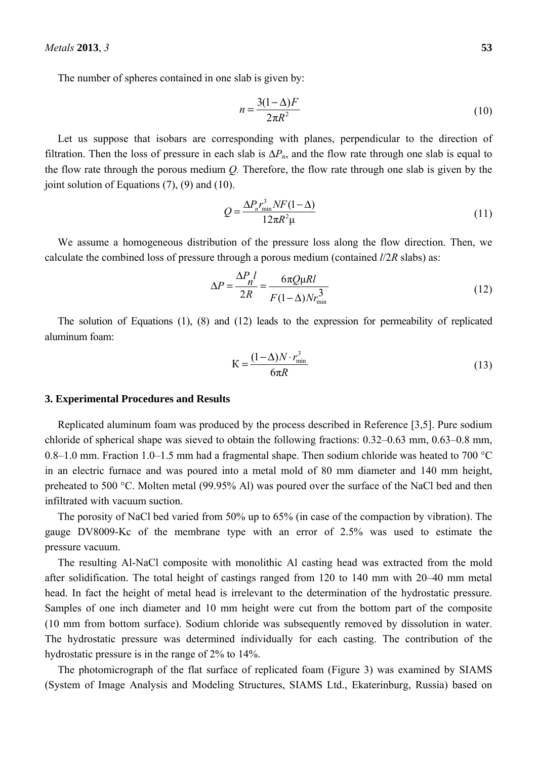The number of spheres contained in one slab is given by:

$$
n = \frac{3(1 - \Delta)F}{2\pi R^2} \tag{10}
$$

Let us suppose that isobars are corresponding with planes, perpendicular to the direction of filtration. Then the loss of pressure in each slab is  $\Delta P_n$ , and the flow rate through one slab is equal to the flow rate through the porous medium *Q.* Therefore, the flow rate through one slab is given by the joint solution of Equations (7), (9) and (10).

$$
Q = \frac{\Delta P_n r_{\min}^3 N F (1 - \Delta)}{12 \pi R^2 \mu} \tag{11}
$$

We assume a homogeneous distribution of the pressure loss along the flow direction. Then, we calculate the combined loss of pressure through a porous medium (contained *l*/2*R* slabs) as:

$$
\Delta P = \frac{\Delta P_n l}{2R} = \frac{6\pi Q \mu R l}{F(1-\Delta) N r_{\min}^3}
$$
(12)

The solution of Equations (1), (8) and (12) leads to the expression for permeability of replicated aluminum foam:

$$
K = \frac{(1 - \Delta)N \cdot r_{\text{min}}^3}{6\pi R}
$$
\n(13)

### **3. Experimental Procedures and Results**

Replicated aluminum foam was produced by the process described in Reference [3,5]. Pure sodium chloride of spherical shape was sieved to obtain the following fractions: 0.32–0.63 mm, 0.63–0.8 mm, 0.8–1.0 mm. Fraction 1.0–1.5 mm had a fragmental shape. Then sodium chloride was heated to 700 °C in an electric furnace and was poured into a metal mold of 80 mm diameter and 140 mm height, preheated to 500 °C. Molten metal (99.95% Al) was poured over the surface of the NaCl bed and then infiltrated with vacuum suction.

The porosity of NaCl bed varied from 50% up to 65% (in case of the compaction by vibration). The gauge DV8009-Kc of the membrane type with an error of 2.5% was used to estimate the pressure vacuum.

The resulting Al-NaCl composite with monolithic Al casting head was extracted from the mold after solidification. The total height of castings ranged from 120 to 140 mm with 20–40 mm metal head. In fact the height of metal head is irrelevant to the determination of the hydrostatic pressure. Samples of one inch diameter and 10 mm height were cut from the bottom part of the composite (10 mm from bottom surface). Sodium chloride was subsequently removed by dissolution in water. The hydrostatic pressure was determined individually for each casting. The contribution of the hydrostatic pressure is in the range of 2% to 14%.

The photomicrograph of the flat surface of replicated foam (Figure 3) was examined by SIAMS (System of Image Analysis and Modeling Structures, SIAMS Ltd., Ekaterinburg, Russia) based on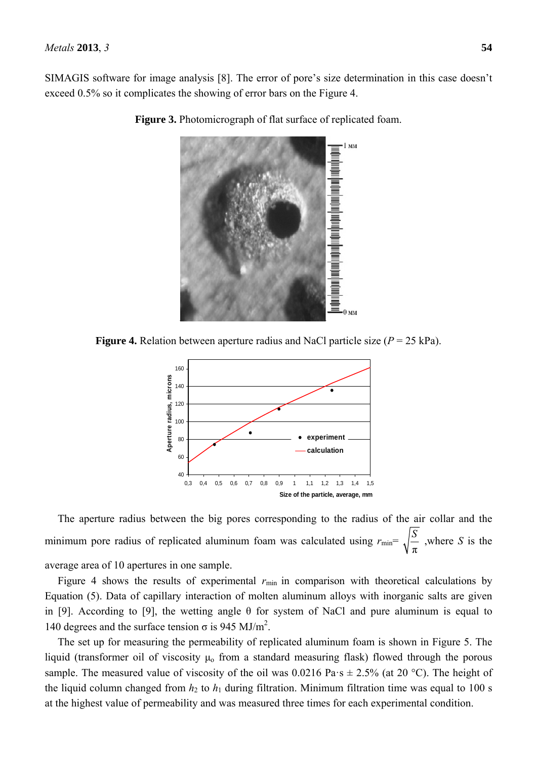SIMAGIS software for image analysis [8]. The error of pore's size determination in this case doesn't exceed 0.5% so it complicates the showing of error bars on the Figure 4.



**Figure 3.** Photomicrograph of flat surface of replicated foam.

**Figure 4.** Relation between aperture radius and NaCl particle size  $(P = 25 \text{ kPa})$ .



The aperture radius between the big pores corresponding to the radius of the air collar and the minimum pore radius of replicated aluminum foam was calculated using  $r_{\text{min}}$ = π *<sup>S</sup>* ,where *S* is the average area of 10 apertures in one sample.

Figure 4 shows the results of experimental  $r_{min}$  in comparison with theoretical calculations by Equation (5). Data of capillary interaction of molten aluminum alloys with inorganic salts are given in [9]. According to [9], the wetting angle  $\theta$  for system of NaCl and pure aluminum is equal to 140 degrees and the surface tension  $\sigma$  is 945 MJ/m<sup>2</sup>.

The set up for measuring the permeability of replicated aluminum foam is shown in Figure 5. The liquid (transformer oil of viscosity  $\mu_0$  from a standard measuring flask) flowed through the porous sample. The measured value of viscosity of the oil was  $0.0216 \text{ Pa}\cdot\text{s} \pm 2.5\%$  (at 20 °C). The height of the liquid column changed from  $h_2$  to  $h_1$  during filtration. Minimum filtration time was equal to 100 s at the highest value of permeability and was measured three times for each experimental condition.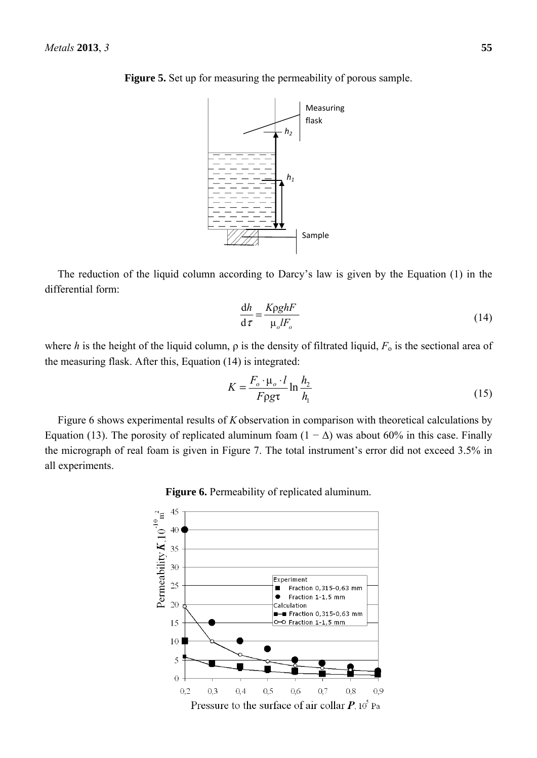

**Figure 5.** Set up for measuring the permeability of porous sample.

The reduction of the liquid column according to Darcy's law is given by the Equation (1) in the differential form:

$$
\frac{dh}{d\tau} = \frac{K\rho g h F}{\mu_o l F_o} \tag{14}
$$

where *h* is the height of the liquid column,  $\rho$  is the density of filtrated liquid,  $F_0$  is the sectional area of the measuring flask. After this, Equation (14) is integrated:

$$
K = \frac{F_o \cdot \mu_o \cdot l}{F \rho g \tau} \ln \frac{h_2}{h_1}
$$
 (15)

Figure 6 shows experimental results of *K* observation in comparison with theoretical calculations by Equation (13). The porosity of replicated aluminum foam  $(1 - \Delta)$  was about 60% in this case. Finally the micrograph of real foam is given in Figure 7. The total instrument's error did not exceed 3.5% in all experiments.

**Figure 6.** Permeability of replicated aluminum.

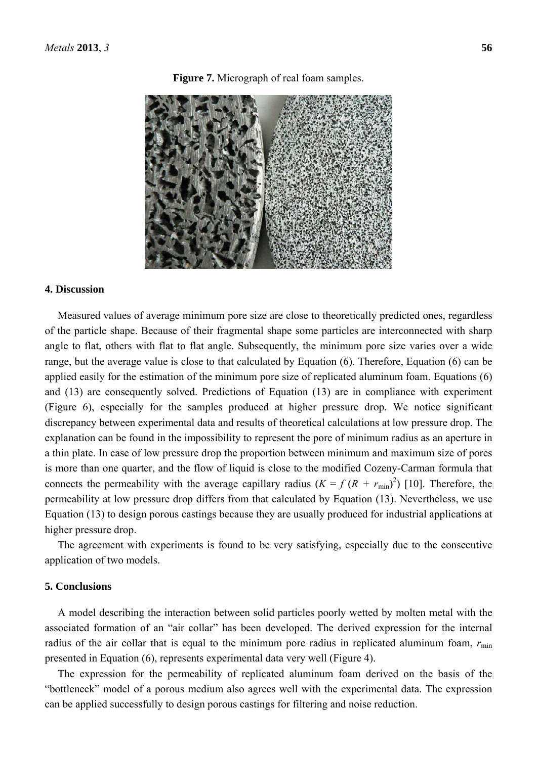### **Figure 7.** Micrograph of real foam samples.

### **4. Discussion**

Measured values of average minimum pore size are close to theoretically predicted ones, regardless of the particle shape. Because of their fragmental shape some particles are interconnected with sharp angle to flat, others with flat to flat angle. Subsequently, the minimum pore size varies over a wide range, but the average value is close to that calculated by Equation (6). Therefore, Equation (6) can be applied easily for the estimation of the minimum pore size of replicated aluminum foam. Equations (6) and (13) are consequently solved. Predictions of Equation (13) are in compliance with experiment (Figure 6), especially for the samples produced at higher pressure drop. We notice significant discrepancy between experimental data and results of theoretical calculations at low pressure drop. The explanation can be found in the impossibility to represent the pore of minimum radius as an aperture in a thin plate. In case of low pressure drop the proportion between minimum and maximum size of pores is more than one quarter, and the flow of liquid is close to the modified Cozeny-Carman formula that connects the permeability with the average capillary radius  $(K = f (R + r_{min})^2)$  [10]. Therefore, the permeability at low pressure drop differs from that calculated by Equation (13). Nevertheless, we use Equation (13) to design porous castings because they are usually produced for industrial applications at higher pressure drop.

The agreement with experiments is found to be very satisfying, especially due to the consecutive application of two models.

### **5. Conclusions**

A model describing the interaction between solid particles poorly wetted by molten metal with the associated formation of an "air collar" has been developed. The derived expression for the internal radius of the air collar that is equal to the minimum pore radius in replicated aluminum foam,  $r_{\min}$ presented in Equation (6), represents experimental data very well (Figure 4).

The expression for the permeability of replicated aluminum foam derived on the basis of the "bottleneck" model of a porous medium also agrees well with the experimental data. The expression can be applied successfully to design porous castings for filtering and noise reduction.